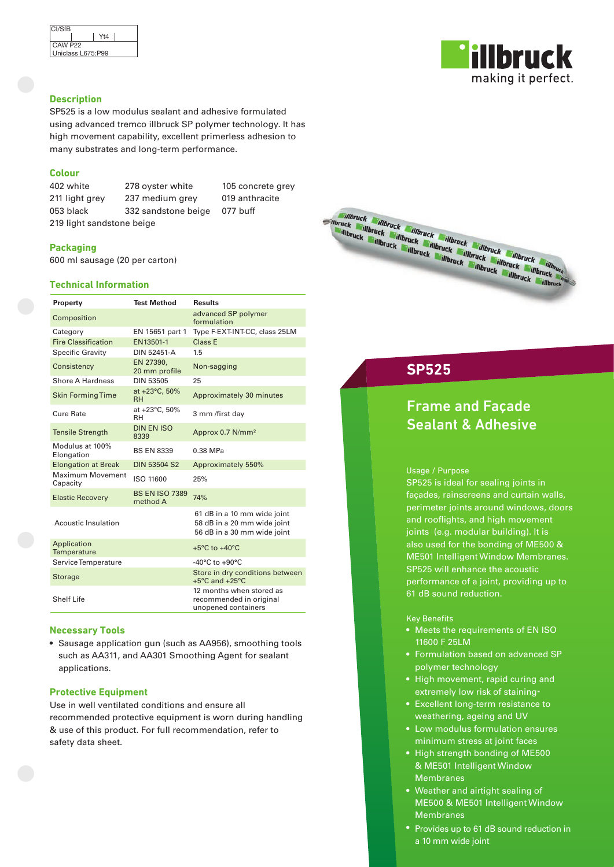| CI/SfB              |                   |  |
|---------------------|-------------------|--|
|                     | Yt4               |  |
| CAW P <sub>22</sub> |                   |  |
|                     | Uniclass L675:P99 |  |
|                     |                   |  |

## **Description**

SP525 is a low modulus sealant and adhesive formulated using advanced tremco illbruck SP polymer technology. It has high movement capability, excellent primerless adhesion to many substrates and long-term performance.

## **Colour**

402 white 278 oyster white 105 concrete grey 211 light grey 237 medium grey 019 anthracite 053 black 332 sandstone beige 077 buff 219 light sandstone beige

## **Packaging**

600 ml sausage (20 per carton)

## **Technical Information**

| Property                            | <b>Test Method</b>                | <b>Results</b>                                                                            |
|-------------------------------------|-----------------------------------|-------------------------------------------------------------------------------------------|
| Composition                         |                                   | advanced SP polymer<br>formulation                                                        |
| Category                            | EN 15651 part 1                   | Type F-EXT-INT-CC, class 25LM                                                             |
| <b>Fire Classification</b>          | EN13501-1                         | Class E                                                                                   |
| <b>Specific Gravity</b>             | DIN 52451-A                       | 1.5                                                                                       |
| Consistency                         | EN 27390.<br>20 mm profile        | Non-sagging                                                                               |
| Shore A Hardness                    | <b>DIN 53505</b>                  | 25                                                                                        |
| <b>Skin Forming Time</b>            | at +23°C, 50%<br><b>RH</b>        | Approximately 30 minutes                                                                  |
| Cure Rate                           | at +23°C, 50%<br>RH               | 3 mm /first day                                                                           |
| <b>Tensile Strength</b>             | <b>DIN EN ISO</b><br>8339         | Approx 0.7 N/mm <sup>2</sup>                                                              |
| Modulus at 100%<br>Elongation       | <b>BS EN 8339</b>                 | 0.38 MPa                                                                                  |
| <b>Elongation at Break</b>          | <b>DIN 53504 S2</b>               | Approximately 550%                                                                        |
| <b>Maximum Movement</b><br>Capacity | ISO 11600                         | 25%                                                                                       |
| <b>Elastic Recovery</b>             | <b>BS EN ISO 7389</b><br>method A | 74%                                                                                       |
| Acoustic Insulation                 |                                   | 61 dB in a 10 mm wide joint<br>58 dB in a 20 mm wide joint<br>56 dB in a 30 mm wide joint |
| Application<br><b>Temperature</b>   |                                   | $+5^{\circ}$ C to $+40^{\circ}$ C                                                         |
| Service Temperature                 |                                   | $-40^{\circ}$ C to $+90^{\circ}$ C                                                        |
| <b>Storage</b>                      |                                   | Store in dry conditions between<br>$+5^{\circ}$ C and $+25^{\circ}$ C                     |
| <b>Shelf Life</b>                   |                                   | 12 months when stored as<br>recommended in original<br>unopened containers                |

## **Necessary Tools**

• Sausage application gun (such as AA956), smoothing tools such as AA311, and AA301 Smoothing Agent for sealant applications.

### **Protective Equipment**

Use in well ventilated conditions and ensure all recommended protective equipment is worn during handling & use of this product. For full recommendation, refer to safety data sheet.

# illbruck making it perfect.



## **SP525**

## Frame and Façade Sealant & Adhesive

### Usage / Purpose

SP525 is ideal for sealing joints in façades, rainscreens and curtain walls, perimeter joints around windows, doors and rooflights, and high movement joints (e.g. modular building). It is also used for the bonding of ME500 & ME501 Intelligent Window Membranes. SP525 will enhance the acoustic performance of a joint, providing up to 61 dB sound reduction.

## Key Benefits

- Meets the requirements of EN ISO 11600 F 25LM
- Formulation based on advanced SP polymer technology
- High movement, rapid curing and extremely low risk of staining\*
- Excellent long-term resistance to weathering, ageing and UV
- Low modulus formulation ensures minimum stress at joint faces
- High strength bonding of ME500 & ME501 Intelligent Window **Membranes**
- Weather and airtight sealing of ME500 & ME501 Intelligent Window Membranes
- Provides up to 61 dB sound reduction in a 10 mm wide joint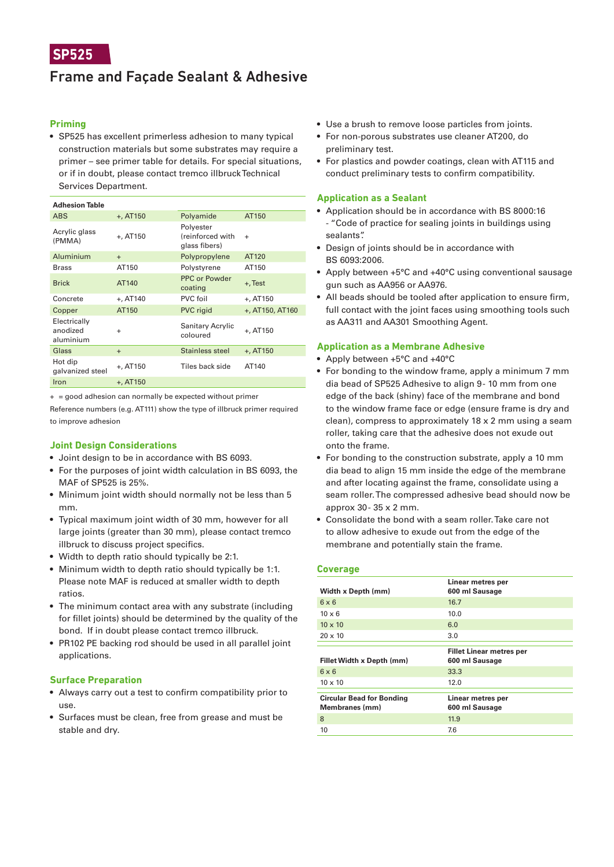## Frame and Façade Sealant & Adhesive

## **Priming**

• SP525 has excellent primerless adhesion to many typical construction materials but some substrates may require a primer – see primer table for details. For special situations, or if in doubt, please contact tremco illbruck Technical Services Department.

#### **Adhesion Table** ABS +, AT150 Polyamide AT150 Acrylic glass Acrylic glass<br>(PMMA) +, AT150 **Polyaster** (reinforced with glass fibers) + Aluminium + Polypropylene AT120 Brass AT150 Polystyrene AT150 Brick AT140 PPC or Powder Fru or rowder +, Test Concrete +, AT140 PVC foil +, AT150 Copper AT150 PVC rigid +, AT150, AT160 Electrically anodized aluminium <sup>+</sup> Sanitary Acrylic Sanitary Acrylic<br>coloured +, AT150 Glass + Stainless steel +, AT150 Hot dip Hot dip<br>galvanized steel +, AT150 Tiles back side AT140  $Iron + A T150$

+ = good adhesion can normally be expected without primer

Reference numbers (e.g. AT111) show the type of illbruck primer required to improve adhesion

## **Joint Design Considerations**

- Joint design to be in accordance with BS 6093.
- For the purposes of joint width calculation in BS 6093, the MAF of SP525 is 25%.
- Minimum joint width should normally not be less than 5 mm.
- Typical maximum joint width of 30 mm, however for all large joints (greater than 30 mm), please contact tremco illbruck to discuss project specifics.
- Width to depth ratio should typically be 2:1.
- Minimum width to depth ratio should typically be 1:1. Please note MAF is reduced at smaller width to depth ratios.
- The minimum contact area with any substrate (including for fillet joints) should be determined by the quality of the bond. If in doubt please contact tremco illbruck.
- PR102 PE backing rod should be used in all parallel joint applications.

## **Surface Preparation**

- Always carry out a test to confirm compatibility prior to use.
- Surfaces must be clean, free from grease and must be stable and dry.
- Use a brush to remove loose particles from joints.
- For non-porous substrates use cleaner AT200, do preliminary test.
- For plastics and powder coatings, clean with AT115 and conduct preliminary tests to confirm compatibility.

## **Application as a Sealant**

- Application should be in accordance with BS 8000:16 - "Code of practice for sealing joints in buildings using sealants".
- Design of joints should be in accordance with BS 6093:2006.
- Apply between +5°C and +40°C using conventional sausage gun such as AA956 or AA976.
- All beads should be tooled after application to ensure firm, full contact with the joint faces using smoothing tools such as AA311 and AA301 Smoothing Agent.

## **Application as a Membrane Adhesive**

- Apply between +5°C and +40°C
- For bonding to the window frame, apply a minimum 7 mm dia bead of SP525 Adhesive to align 9 - 10 mm from one edge of the back (shiny) face of the membrane and bond to the window frame face or edge (ensure frame is dry and clean), compress to approximately 18 x 2 mm using a seam roller, taking care that the adhesive does not exude out onto the frame.
- For bonding to the construction substrate, apply a 10 mm dia bead to align 15 mm inside the edge of the membrane and after locating against the frame, consolidate using a seam roller. The compressed adhesive bead should now be approx 30 - 35 x 2 mm.
- Consolidate the bond with a seam roller. Take care not to allow adhesive to exude out from the edge of the membrane and potentially stain the frame.

## **Coverage**

| Width x Depth (mm)                                 | Linear metres per<br>600 ml Sausage |
|----------------------------------------------------|-------------------------------------|
| $6 \times 6$                                       | 16.7                                |
| $10 \times 6$                                      | 10.0                                |
| $10 \times 10$                                     | 6.0                                 |
| $20 \times 10$                                     | 3.0                                 |
|                                                    |                                     |
|                                                    | <b>Fillet Linear metres per</b>     |
| Fillet Width x Depth (mm)                          | 600 ml Sausage                      |
| $6 \times 6$                                       | 33.3                                |
| $10 \times 10$                                     | 12.0                                |
|                                                    |                                     |
| <b>Circular Bead for Bonding</b><br>Membranes (mm) | Linear metres per<br>600 ml Sausage |
| 8                                                  | 11.9                                |
| 10                                                 | 7.6                                 |